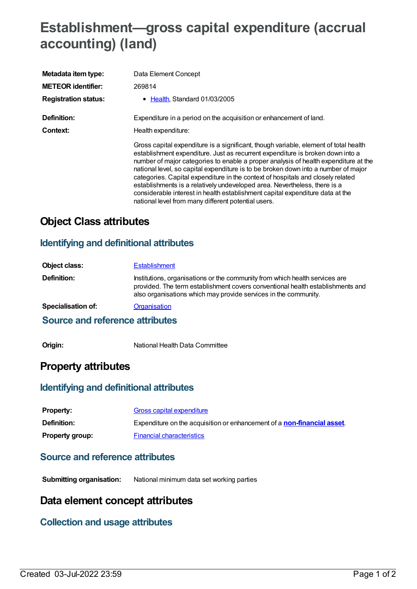# **Establishment—gross capital expenditure (accrual accounting) (land)**

| Metadata item type:         | Data Element Concept                                                                                                                                                                                                                                                                                                                                                                                                                                                                                                                                                                                                                                        |
|-----------------------------|-------------------------------------------------------------------------------------------------------------------------------------------------------------------------------------------------------------------------------------------------------------------------------------------------------------------------------------------------------------------------------------------------------------------------------------------------------------------------------------------------------------------------------------------------------------------------------------------------------------------------------------------------------------|
| <b>METEOR identifier:</b>   | 269814                                                                                                                                                                                                                                                                                                                                                                                                                                                                                                                                                                                                                                                      |
| <b>Registration status:</b> | • Health, Standard 01/03/2005                                                                                                                                                                                                                                                                                                                                                                                                                                                                                                                                                                                                                               |
| Definition:                 | Expenditure in a period on the acquisition or enhancement of land.                                                                                                                                                                                                                                                                                                                                                                                                                                                                                                                                                                                          |
| Context:                    | Health expenditure:                                                                                                                                                                                                                                                                                                                                                                                                                                                                                                                                                                                                                                         |
|                             | Gross capital expenditure is a significant, though variable, element of total health<br>establishment expenditure. Just as recurrent expenditure is broken down into a<br>number of major categories to enable a proper analysis of health expenditure at the<br>national level, so capital expenditure is to be broken down into a number of major<br>categories. Capital expenditure in the context of hospitals and closely related<br>establishments is a relatively undeveloped area. Nevertheless, there is a<br>considerable interest in health establishment capital expenditure data at the<br>national level from many different potential users. |

## **Object Class attributes**

#### **Identifying and definitional attributes**

| Object class:             | <b>Establishment</b>                                                                                                                                                                                                             |
|---------------------------|----------------------------------------------------------------------------------------------------------------------------------------------------------------------------------------------------------------------------------|
| Definition:               | Institutions, organisations or the community from which health services are<br>provided. The term establishment covers conventional health establishments and<br>also organisations which may provide services in the community. |
| <b>Specialisation of:</b> | Organisation                                                                                                                                                                                                                     |

#### **Source and reference attributes**

**Origin:** National Health Data Committee

## **Property attributes**

#### **Identifying and definitional attributes**

| <b>Property:</b>       | Gross capital expenditure                                                       |
|------------------------|---------------------------------------------------------------------------------|
| <b>Definition:</b>     | Expenditure on the acquisition or enhancement of a <b>non-financial asset</b> . |
| <b>Property group:</b> | <b>Financial characteristics</b>                                                |

#### **Source and reference attributes**

**Submitting organisation:** National minimum data set working parties

### **Data element concept attributes**

#### **Collection and usage attributes**